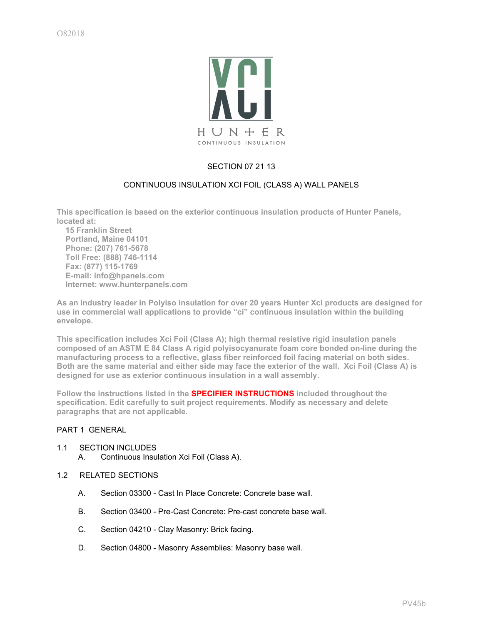

## SECTION 07 21 13

## CONTINUOUS INSULATION XCI FOIL (CLASS A) WALL PANELS

**This specification is based on the exterior continuous insulation products of Hunter Panels, located at:**

 **15 Franklin Street Portland, Maine 04101 Phone: (207) 761-5678 Toll Free: (888) 746-1114 Fax: (877) 115-1769 E-mail: info@hpanels.com Internet: www.hunterpanels.com**

**As an industry leader in Polyiso insulation for over 20 years Hunter Xci products are designed for use in commercial wall applications to provide "ci" continuous insulation within the building envelope.**

**This specification includes Xci Foil (Class A); high thermal resistive rigid insulation panels composed of an ASTM E 84 Class A rigid polyisocyanurate foam core bonded on-line during the manufacturing process to a reflective, glass fiber reinforced foil facing material on both sides. Both are the same material and either side may face the exterior of the wall. Xci Foil (Class A) is designed for use as exterior continuous insulation in a wall assembly.**

**Follow the instructions listed in the SPECIFIER INSTRUCTIONS included throughout the specification. Edit carefully to suit project requirements. Modify as necessary and delete paragraphs that are not applicable.**

## PART 1 GENERAL

- 1.1 SECTION INCLUDES
	- A. Continuous Insulation Xci Foil (Class A).
- 1.2 RELATED SECTIONS
	- A. Section 03300 Cast In Place Concrete: Concrete base wall.
	- B. Section 03400 Pre-Cast Concrete: Pre-cast concrete base wall.
	- C. Section 04210 Clay Masonry: Brick facing.
	- D. Section 04800 Masonry Assemblies: Masonry base wall.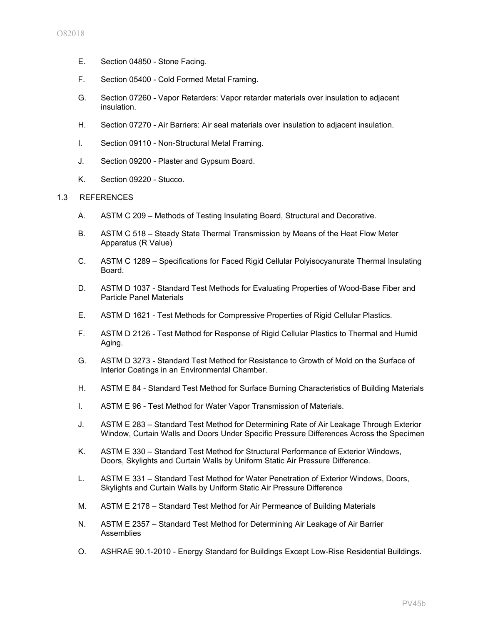- E. Section 04850 Stone Facing.
- F. Section 05400 Cold Formed Metal Framing.
- G. Section 07260 Vapor Retarders: Vapor retarder materials over insulation to adjacent insulation.
- H. Section 07270 Air Barriers: Air seal materials over insulation to adjacent insulation.
- I. Section 09110 Non-Structural Metal Framing.
- J. Section 09200 Plaster and Gypsum Board.
- K. Section 09220 Stucco.

## 1.3 REFERENCES

- A. ASTM C 209 Methods of Testing Insulating Board, Structural and Decorative.
- B. ASTM C 518 Steady State Thermal Transmission by Means of the Heat Flow Meter Apparatus (R Value)
- C. ASTM C 1289 Specifications for Faced Rigid Cellular Polyisocyanurate Thermal Insulating Board.
- D. ASTM D 1037 Standard Test Methods for Evaluating Properties of Wood-Base Fiber and Particle Panel Materials
- E. ASTM D 1621 Test Methods for Compressive Properties of Rigid Cellular Plastics.
- F. ASTM D 2126 Test Method for Response of Rigid Cellular Plastics to Thermal and Humid Aging.
- G. ASTM D 3273 Standard Test Method for Resistance to Growth of Mold on the Surface of Interior Coatings in an Environmental Chamber.
- H. ASTM E 84 Standard Test Method for Surface Burning Characteristics of Building Materials
- I. ASTM E 96 Test Method for Water Vapor Transmission of Materials.
- J. ASTM E 283 Standard Test Method for Determining Rate of Air Leakage Through Exterior Window, Curtain Walls and Doors Under Specific Pressure Differences Across the Specimen
- K. ASTM E 330 Standard Test Method for Structural Performance of Exterior Windows, Doors, Skylights and Curtain Walls by Uniform Static Air Pressure Difference.
- L. ASTM E 331 Standard Test Method for Water Penetration of Exterior Windows, Doors, Skylights and Curtain Walls by Uniform Static Air Pressure Difference
- M. ASTM E 2178 Standard Test Method for Air Permeance of Building Materials
- N. ASTM E 2357 Standard Test Method for Determining Air Leakage of Air Barrier Assemblies
- O. ASHRAE 90.1-2010 Energy Standard for Buildings Except Low-Rise Residential Buildings.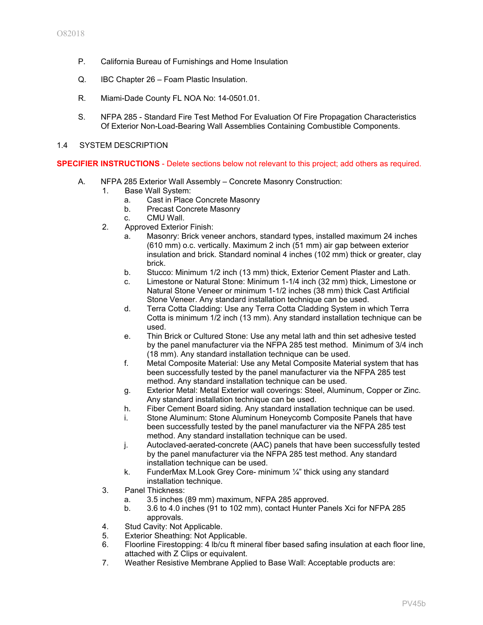- P. California Bureau of Furnishings and Home Insulation
- Q. IBC Chapter 26 Foam Plastic Insulation.
- R. Miami-Dade County FL NOA No: 14-0501.01.
- S. NFPA 285 Standard Fire Test Method For Evaluation Of Fire Propagation Characteristics Of Exterior Non-Load-Bearing Wall Assemblies Containing Combustible Components.
- 1.4 SYSTEM DESCRIPTION

**SPECIFIER INSTRUCTIONS** - Delete sections below not relevant to this project; add others as required.

- A. NFPA 285 Exterior Wall Assembly Concrete Masonry Construction:
	- 1. Base Wall System:
		- a. Cast in Place Concrete Masonry
		- b. Precast Concrete Masonry
		- c. CMU Wall.
	- 2. Approved Exterior Finish:
		- a. Masonry: Brick veneer anchors, standard types, installed maximum 24 inches (610 mm) o.c. vertically. Maximum 2 inch (51 mm) air gap between exterior insulation and brick. Standard nominal 4 inches (102 mm) thick or greater, clay brick.
		- b. Stucco: Minimum 1/2 inch (13 mm) thick, Exterior Cement Plaster and Lath.
		- c. Limestone or Natural Stone: Minimum 1-1/4 inch (32 mm) thick, Limestone or Natural Stone Veneer or minimum 1-1/2 inches (38 mm) thick Cast Artificial Stone Veneer. Any standard installation technique can be used.
		- d. Terra Cotta Cladding: Use any Terra Cotta Cladding System in which Terra Cotta is minimum 1/2 inch (13 mm). Any standard installation technique can be used.
		- e. Thin Brick or Cultured Stone: Use any metal lath and thin set adhesive tested by the panel manufacturer via the NFPA 285 test method. Minimum of 3/4 inch (18 mm). Any standard installation technique can be used.
		- f. Metal Composite Material: Use any Metal Composite Material system that has been successfully tested by the panel manufacturer via the NFPA 285 test method. Any standard installation technique can be used.
		- g. Exterior Metal: Metal Exterior wall coverings: Steel, Aluminum, Copper or Zinc. Any standard installation technique can be used.
		- h. Fiber Cement Board siding. Any standard installation technique can be used.
		- i. Stone Aluminum: Stone Aluminum Honeycomb Composite Panels that have been successfully tested by the panel manufacturer via the NFPA 285 test method. Any standard installation technique can be used.
		- j. Autoclaved-aerated-concrete (AAC) panels that have been successfully tested by the panel manufacturer via the NFPA 285 test method. Any standard installation technique can be used.
		- k. FunderMax M.Look Grey Core- minimum ¼" thick using any standard installation technique.
	- 3. Panel Thickness:
		- a. 3.5 inches (89 mm) maximum, NFPA 285 approved.
		- b. 3.6 to 4.0 inches (91 to 102 mm), contact Hunter Panels Xci for NFPA 285 approvals.
	- 4. Stud Cavity: Not Applicable.
	- 5. Exterior Sheathing: Not Applicable.
	- 6. Floorline Firestopping: 4 lb/cu ft mineral fiber based safing insulation at each floor line, attached with Z Clips or equivalent.
	- 7. Weather Resistive Membrane Applied to Base Wall: Acceptable products are: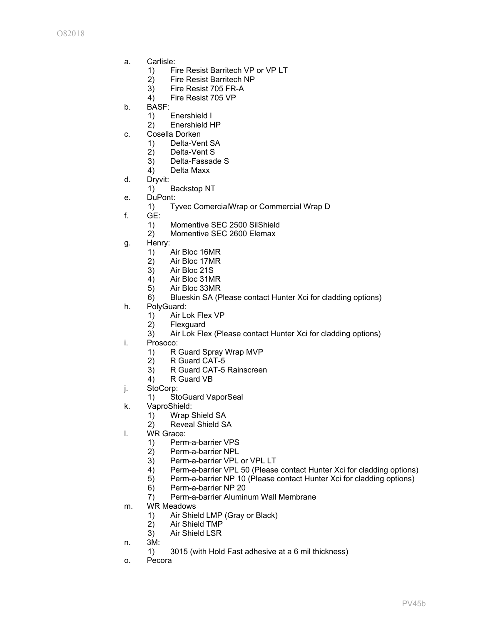- a. Carlisle:
	- 1) Fire Resist Barritech VP or VP LT
	- 2) Fire Resist Barritech NP
	- 3) Fire Resist 705 FR-A
	- 4) Fire Resist 705 VP
- b. BASF:
	- 1) Enershield I
	- 2) Enershield HP
- c. Cosella Dorken
	- 1) Delta-Vent SA
	- 2) Delta-Vent S
	- 3) Delta-Fassade S
	- 4) Delta Maxx
- d. Dryvit:
	- 1) Backstop NT
- e. DuPont:
	- 1) Tyvec ComercialWrap or Commercial Wrap D
- f. GE:
	- 1) Momentive SEC 2500 SilShield
	- 2) Momentive SEC 2600 Elemax
- g. Henry:
	- 1) Air Bloc 16MR
	- 2) Air Bloc 17MR<br>3) Air Bloc 21S
	- Air Bloc 21S
	- 4) Air Bloc 31MR
	- 5) Air Bloc 33MR
	- 6) Blueskin SA (Please contact Hunter Xci for cladding options)
- h. PolyGuard:
	- 1) Air Lok Flex VP
	- 2) Flexguard
	- 3) Air Lok Flex (Please contact Hunter Xci for cladding options)
- i. Prosoco:
	- 1) R Guard Spray Wrap MVP
	- 2) R Guard CAT-5
	- 3) R Guard CAT-5 Rainscreen
	- 4) R Guard VB
- j. StoCorp:
	- 1) StoGuard VaporSeal
- k. VaproShield:
	- 1) Wrap Shield SA
	- 2) Reveal Shield SA
- l. WR Grace:
	- 1) Perm-a-barrier VPS
	- 2) Perm-a-barrier NPL
	- 3) Perm-a-barrier VPL or VPL LT
	- 4) Perm-a-barrier VPL 50 (Please contact Hunter Xci for cladding options)
	- 5) Perm-a-barrier NP 10 (Please contact Hunter Xci for cladding options)
	- 6) Perm-a-barrier NP 20
	- 7) Perm-a-barrier Aluminum Wall Membrane
- m. WR Meadows
	- 1) Air Shield LMP (Gray or Black)
	- 2) Air Shield TMP
	- 3) Air Shield LSR
- n. 3M:
	- 1) 3015 (with Hold Fast adhesive at a 6 mil thickness)
- o. Pecora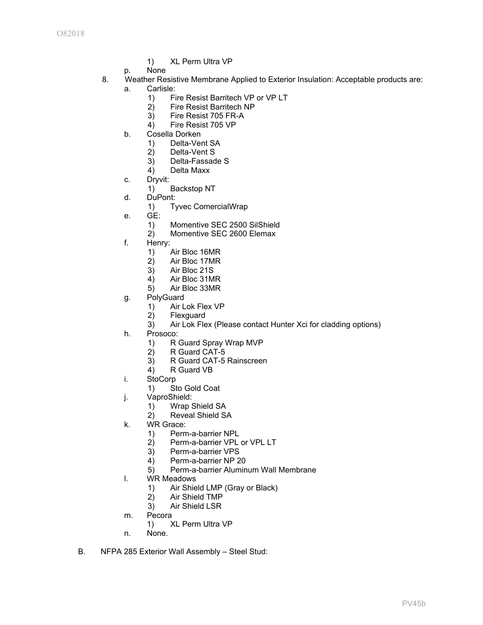- 1) XL Perm Ultra VP
- p. None
- 8. Weather Resistive Membrane Applied to Exterior Insulation: Acceptable products are:
	- a. Carlisle:
		- 1) Fire Resist Barritech VP or VP LT
		- 2) Fire Resist Barritech NP
		- 3) Fire Resist 705 FR-A
		- 4) Fire Resist 705 VP
		- b. Cosella Dorken
			- 1) Delta-Vent SA
			- 2) Delta-Vent S
			- 3) Delta-Fassade S
			- 4) Delta Maxx
		- c. Dryvit:
			- 1) Backstop NT
		- d. DuPont:
			- 1) Tyvec ComercialWrap
		- e. GE:
			- 1) Momentive SEC 2500 SilShield
			- 2) Momentive SEC 2600 Elemax
		- f. Henry:
			- 1) Air Bloc 16MR
			- 2) Air Bloc 17MR<br>3) Air Bloc 21S
			- Air Bloc 21S
			- 4) Air Bloc 31MR
			- 5) Air Bloc 33MR
		- g. PolyGuard
			- 1) Air Lok Flex VP
			- 2) Flexguard
			- 3) Air Lok Flex (Please contact Hunter Xci for cladding options)
		- h. Prosoco:
			- 1) R Guard Spray Wrap MVP
			- 2) R Guard CAT-5
			- 3) R Guard CAT-5 Rainscreen
			- 4) R Guard VB
		- i. StoCorp
			- 1) Sto Gold Coat
		- j. VaproShield:
			- 1) Wrap Shield SA
			- 2) Reveal Shield SA
		- k. WR Grace:
			- 1) Perm-a-barrier NPL
			- 2) Perm-a-barrier VPL or VPL LT
			- 3) Perm-a-barrier VPS
			- 4) Perm-a-barrier NP 20
			- 5) Perm-a-barrier Aluminum Wall Membrane
		- l. WR Meadows
			- 1) Air Shield LMP (Gray or Black)
			- 2) Air Shield TMP
			- 3) Air Shield LSR
	- m. Pecora
		- 1) XL Perm Ultra VP
	- n. None.
- B. NFPA 285 Exterior Wall Assembly Steel Stud: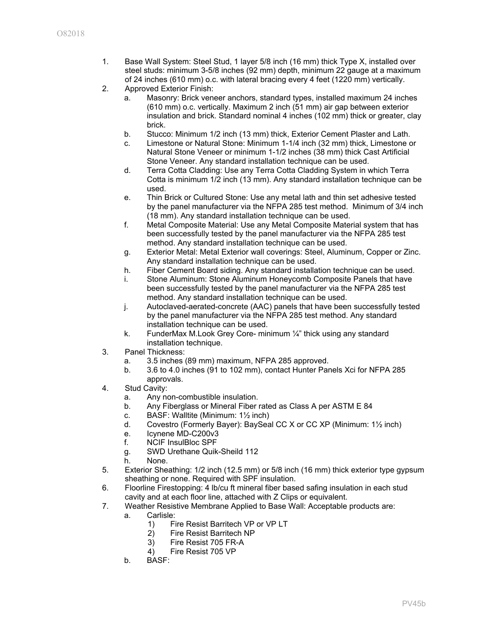- 1. Base Wall System: Steel Stud, 1 layer 5/8 inch (16 mm) thick Type X, installed over steel studs: minimum 3-5/8 inches (92 mm) depth, minimum 22 gauge at a maximum of 24 inches (610 mm) o.c. with lateral bracing every 4 feet (1220 mm) vertically.
- 2. Approved Exterior Finish:
	- a. Masonry: Brick veneer anchors, standard types, installed maximum 24 inches (610 mm) o.c. vertically. Maximum 2 inch (51 mm) air gap between exterior insulation and brick. Standard nominal 4 inches (102 mm) thick or greater, clay brick.
	- b. Stucco: Minimum 1/2 inch (13 mm) thick, Exterior Cement Plaster and Lath.
	- c. Limestone or Natural Stone: Minimum 1-1/4 inch (32 mm) thick, Limestone or Natural Stone Veneer or minimum 1-1/2 inches (38 mm) thick Cast Artificial Stone Veneer. Any standard installation technique can be used.
	- d. Terra Cotta Cladding: Use any Terra Cotta Cladding System in which Terra Cotta is minimum 1/2 inch (13 mm). Any standard installation technique can be used.
	- e. Thin Brick or Cultured Stone: Use any metal lath and thin set adhesive tested by the panel manufacturer via the NFPA 285 test method. Minimum of 3/4 inch (18 mm). Any standard installation technique can be used.
	- f. Metal Composite Material: Use any Metal Composite Material system that has been successfully tested by the panel manufacturer via the NFPA 285 test method. Any standard installation technique can be used.
	- g. Exterior Metal: Metal Exterior wall coverings: Steel, Aluminum, Copper or Zinc. Any standard installation technique can be used.
	- h. Fiber Cement Board siding. Any standard installation technique can be used.
	- i. Stone Aluminum: Stone Aluminum Honeycomb Composite Panels that have been successfully tested by the panel manufacturer via the NFPA 285 test method. Any standard installation technique can be used.
	- j. Autoclaved-aerated-concrete (AAC) panels that have been successfully tested by the panel manufacturer via the NFPA 285 test method. Any standard installation technique can be used.
	- k. FunderMax M.Look Grey Core- minimum ¼" thick using any standard installation technique.
- 3. Panel Thickness:
	- a. 3.5 inches (89 mm) maximum, NFPA 285 approved.
	- b. 3.6 to 4.0 inches (91 to 102 mm), contact Hunter Panels Xci for NFPA 285 approvals.
- 4. Stud Cavity:
	- a. Any non-combustible insulation.
	- b. Any Fiberglass or Mineral Fiber rated as Class A per ASTM E 84
	- c. BASF: Walltite (Minimum: 1½ inch)
	- d. Covestro (Formerly Bayer): BaySeal CC X or CC XP (Minimum: 1½ inch)
	- e. Icynene MD-C200v3
	- f. NCIF InsulBloc SPF
	- g. SWD Urethane Quik-Sheild 112
	- h. None.
- 5. Exterior Sheathing: 1/2 inch (12.5 mm) or 5/8 inch (16 mm) thick exterior type gypsum sheathing or none. Required with SPF insulation.
- 6. Floorline Firestopping: 4 lb/cu ft mineral fiber based safing insulation in each stud cavity and at each floor line, attached with Z Clips or equivalent.
- 7. Weather Resistive Membrane Applied to Base Wall: Acceptable products are:
	- a. Carlisle:
		- 1) Fire Resist Barritech VP or VP LT
		- 2) Fire Resist Barritech NP
		- 3) Fire Resist 705 FR-A
		- 4) Fire Resist 705 VP
		- b. BASF: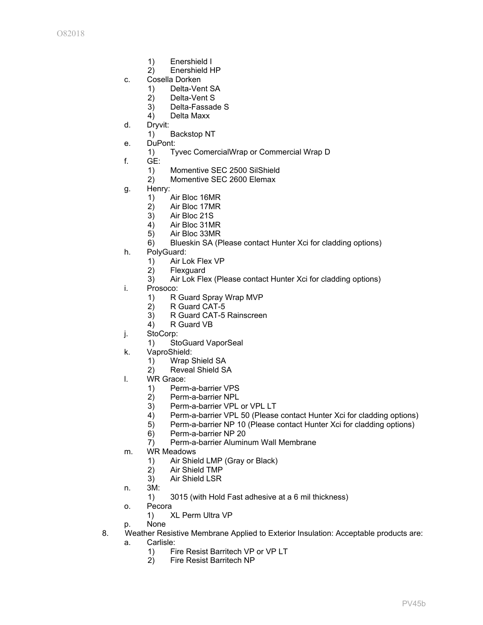- 1) Enershield I
- 2) Enershield HP
- c. Cosella Dorken
	- 1) Delta-Vent SA
	- 2) Delta-Vent S
	- 3) Delta-Fassade S
	- 4) Delta Maxx
- d. Dryvit:
	- 1) Backstop NT
- e. DuPont:
	- 1) Tyvec ComercialWrap or Commercial Wrap D
- f. GE:
	- 1) Momentive SEC 2500 SilShield
	- 2) Momentive SEC 2600 Elemax
- g. Henry:
	- 1) Air Bloc 16MR
	- 2) Air Bloc 17MR
	- 3) Air Bloc 21S
	- 4) Air Bloc 31MR
	- 5) Air Bloc 33MR
	- 6) Blueskin SA (Please contact Hunter Xci for cladding options)
- h. PolyGuard:
	- 1) Air Lok Flex VP<br>2) Flexguard
	- 2) Flexguard<br>3) Air Lok Fle
	- Air Lok Flex (Please contact Hunter Xci for cladding options)
- i. Prosoco:
	- 1) R Guard Spray Wrap MVP
	- 2) R Guard CAT-5
	- 3) R Guard CAT-5 Rainscreen
	- 4) R Guard VB
- j. StoCorp:
	- 1) StoGuard VaporSeal
- k. VaproShield:
	- 1) Wrap Shield SA
		- 2) Reveal Shield SA
- l. WR Grace:
	- 1) Perm-a-barrier VPS
	- 2) Perm-a-barrier NPL
	- 3) Perm-a-barrier VPL or VPL LT
	- 4) Perm-a-barrier VPL 50 (Please contact Hunter Xci for cladding options)
	- 5) Perm-a-barrier NP 10 (Please contact Hunter Xci for cladding options)
	- 6) Perm-a-barrier NP 20
	- 7) Perm-a-barrier Aluminum Wall Membrane
- m. WR Meadows
	- 1) Air Shield LMP (Gray or Black)
	- 2) Air Shield TMP
	- 3) Air Shield LSR
- n. 3M:
	- 1) 3015 (with Hold Fast adhesive at a 6 mil thickness)
- o. Pecora
	- 1) XL Perm Ultra VP
- p. None
- 8. Weather Resistive Membrane Applied to Exterior Insulation: Acceptable products are:
	- a. Carlisle:
		- 1) Fire Resist Barritech VP or VP LT
		- 2) Fire Resist Barritech NP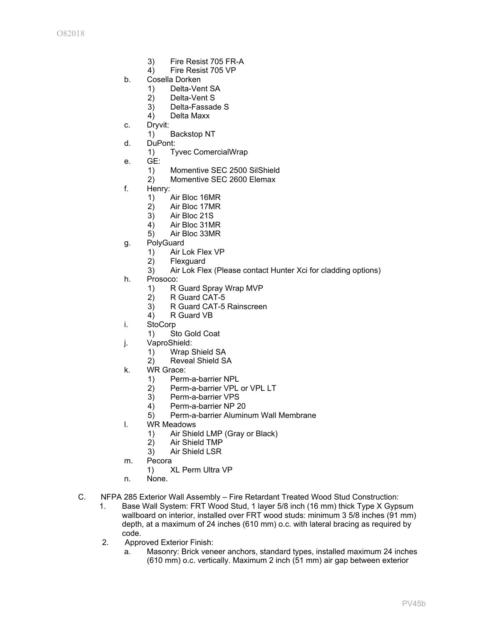- 3) Fire Resist 705 FR-A
- 4) Fire Resist 705 VP
- b. Cosella Dorken
	- 1) Delta-Vent SA
	- 2) Delta-Vent S
	- 3) Delta-Fassade S
	- 4) Delta Maxx
- c. Dryvit:
	- 1) Backstop NT
- d. DuPont:
	- 1) Tyvec ComercialWrap
- e. GE:
	- 1) Momentive SEC 2500 SilShield
	- 2) Momentive SEC 2600 Elemax
- f. Henry:
	- 1) Air Bloc 16MR
	- 2) Air Bloc 17MR
	- 3) Air Bloc 21S
	- 4) Air Bloc 31MR
	- 5) Air Bloc 33MR
- g. PolyGuard
	- 1) Air Lok Flex VP
	- 2) Flexguard
	- 3) Air Lok Flex (Please contact Hunter Xci for cladding options)
- h. Prosoco:
	- 1) R Guard Spray Wrap MVP
	- 2) R Guard CAT-5
	- 3) R Guard CAT-5 Rainscreen
	- 4) R Guard VB
- i. StoCorp
	- 1) Sto Gold Coat
- j. VaproShield:
	- 1) Wrap Shield SA
	- 2) Reveal Shield SA
- k. WR Grace:
	- 1) Perm-a-barrier NPL
	- 2) Perm-a-barrier VPL or VPL LT
	- 3) Perm-a-barrier VPS
	- 4) Perm-a-barrier NP 20
	- 5) Perm-a-barrier Aluminum Wall Membrane
- l. WR Meadows
	- 1) Air Shield LMP (Gray or Black)
	- 2) Air Shield TMP
	- 3) Air Shield LSR
- m. Pecora
	- 1) XL Perm Ultra VP
- n. None.
- C. NFPA 285 Exterior Wall Assembly Fire Retardant Treated Wood Stud Construction:
	- 1. Base Wall System: FRT Wood Stud, 1 layer 5/8 inch (16 mm) thick Type X Gypsum wallboard on interior, installed over FRT wood studs: minimum 3 5/8 inches (91 mm) depth, at a maximum of 24 inches (610 mm) o.c. with lateral bracing as required by code.
	- 2. Approved Exterior Finish:
		- a. Masonry: Brick veneer anchors, standard types, installed maximum 24 inches (610 mm) o.c. vertically. Maximum 2 inch (51 mm) air gap between exterior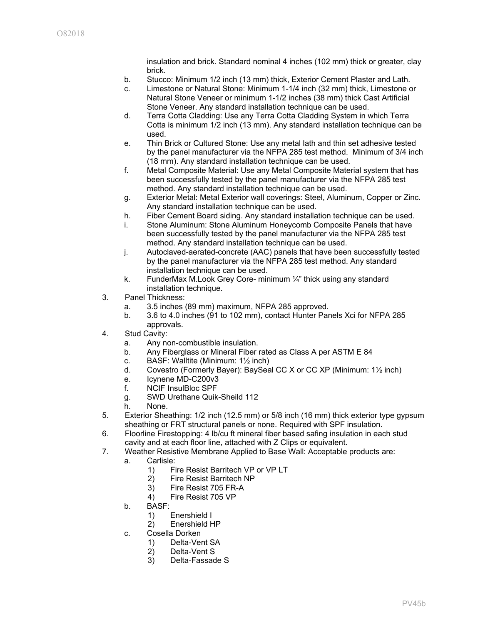insulation and brick. Standard nominal 4 inches (102 mm) thick or greater, clay brick.

- b. Stucco: Minimum 1/2 inch (13 mm) thick, Exterior Cement Plaster and Lath.
- c. Limestone or Natural Stone: Minimum 1-1/4 inch (32 mm) thick, Limestone or Natural Stone Veneer or minimum 1-1/2 inches (38 mm) thick Cast Artificial Stone Veneer. Any standard installation technique can be used.
- d. Terra Cotta Cladding: Use any Terra Cotta Cladding System in which Terra Cotta is minimum 1/2 inch (13 mm). Any standard installation technique can be used.
- e. Thin Brick or Cultured Stone: Use any metal lath and thin set adhesive tested by the panel manufacturer via the NFPA 285 test method. Minimum of 3/4 inch (18 mm). Any standard installation technique can be used.
- f. Metal Composite Material: Use any Metal Composite Material system that has been successfully tested by the panel manufacturer via the NFPA 285 test method. Any standard installation technique can be used.
- g. Exterior Metal: Metal Exterior wall coverings: Steel, Aluminum, Copper or Zinc. Any standard installation technique can be used.
- h. Fiber Cement Board siding. Any standard installation technique can be used.
- i. Stone Aluminum: Stone Aluminum Honeycomb Composite Panels that have been successfully tested by the panel manufacturer via the NFPA 285 test method. Any standard installation technique can be used.
- j. Autoclaved-aerated-concrete (AAC) panels that have been successfully tested by the panel manufacturer via the NFPA 285 test method. Any standard installation technique can be used.
- k. FunderMax M.Look Grey Core- minimum ¼" thick using any standard installation technique.
- 3. Panel Thickness:
	- a. 3.5 inches (89 mm) maximum, NFPA 285 approved.
	- b. 3.6 to 4.0 inches (91 to 102 mm), contact Hunter Panels Xci for NFPA 285
- approvals. 4. Stud Cavity:
	- a. Any non-combustible insulation.
		- b. Any Fiberglass or Mineral Fiber rated as Class A per ASTM E 84
		- c. BASF: Walltite (Minimum: 1½ inch)
		- d. Covestro (Formerly Bayer): BaySeal CC X or CC XP (Minimum: 1½ inch)
		- e. Icynene MD-C200v3
		- f. NCIF InsulBloc SPF
		- g. SWD Urethane Quik-Sheild 112
		- h. None.
- 5. Exterior Sheathing: 1/2 inch (12.5 mm) or 5/8 inch (16 mm) thick exterior type gypsum sheathing or FRT structural panels or none. Required with SPF insulation.
- 6. Floorline Firestopping: 4 lb/cu ft mineral fiber based safing insulation in each stud cavity and at each floor line, attached with Z Clips or equivalent.
- 7. Weather Resistive Membrane Applied to Base Wall: Acceptable products are:
	- a. Carlisle:
		- 1) Fire Resist Barritech VP or VP LT
		- 2) Fire Resist Barritech NP
		- 3) Fire Resist 705 FR-A
		- 4) Fire Resist 705 VP
	- b. BASF:
		- 1) Enershield I
		- 2) Enershield HP
	- c. Cosella Dorken
		- 1) Delta-Vent SA
		- 2) Delta-Vent S
		- 3) Delta-Fassade S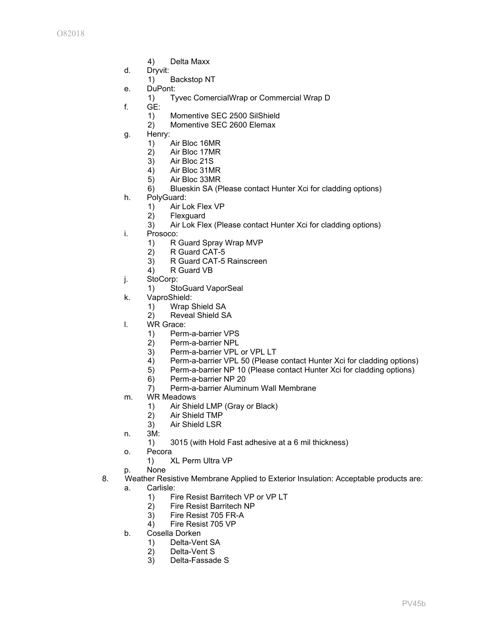- 4) Delta Maxx
- d. Dryvit:
	- 1) Backstop NT
- e. DuPont:
	- 1) Tyvec ComercialWrap or Commercial Wrap D
- f. GE:
	- 1) Momentive SEC 2500 SilShield
	- 2) Momentive SEC 2600 Elemax
- g. Henry:
	- 1) Air Bloc 16MR
	- 2) Air Bloc 17MR
	- 3) Air Bloc 21S
	- Air Bloc 31MR
	- 5) Air Bloc 33MR
	- 6) Blueskin SA (Please contact Hunter Xci for cladding options)
- h. PolyGuard:
	- 1) Air Lok Flex VP
	- 2) Flexguard
	- 3) Air Lok Flex (Please contact Hunter Xci for cladding options)
- i. Prosoco:
	- 1) R Guard Spray Wrap MVP
	- 2) R Guard CAT-5
	- 3) R Guard CAT-5 Rainscreen
	- 4) R Guard VB
- j. StoCorp:
	- 1) StoGuard VaporSeal
- k. VaproShield:
	- 1) Wrap Shield SA
	- 2) Reveal Shield SA
- l. WR Grace:
	- 1) Perm-a-barrier VPS
	- 2) Perm-a-barrier NPL
	- 3) Perm-a-barrier VPL or VPL LT
	- 4) Perm-a-barrier VPL 50 (Please contact Hunter Xci for cladding options)
	- 5) Perm-a-barrier NP 10 (Please contact Hunter Xci for cladding options)
	- 6) Perm-a-barrier NP 20
	- 7) Perm-a-barrier Aluminum Wall Membrane
- m. WR Meadows
	- 1) Air Shield LMP (Gray or Black)
	- 2) Air Shield TMP
	- 3) Air Shield LSR
- n. 3M:
	- 1) 3015 (with Hold Fast adhesive at a 6 mil thickness)
- o. Pecora
	- 1) XL Perm Ultra VP
- p. None
- 8. Weather Resistive Membrane Applied to Exterior Insulation: Acceptable products are:
	- a. Carlisle:
		- 1) Fire Resist Barritech VP or VP LT
		- 2) Fire Resist Barritech NP
		- 3) Fire Resist 705 FR-A
		- 4) Fire Resist 705 VP
	- b. Cosella Dorken
		- 1) Delta-Vent SA
		- 2) Delta-Vent S
		- 3) Delta-Fassade S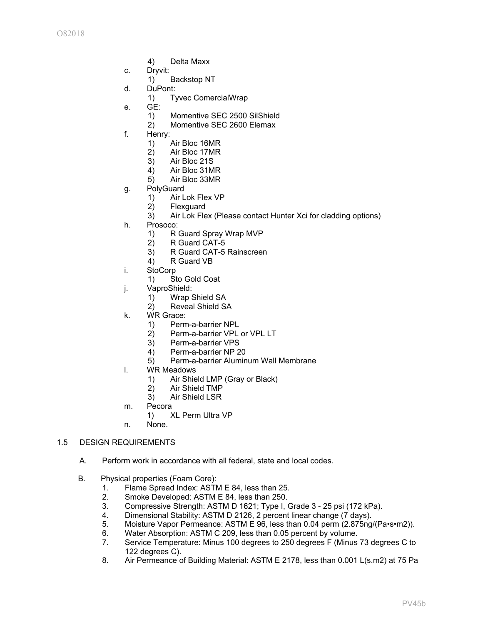- 4) Delta Maxx
- c. Dryvit:
	- 1) Backstop NT
- d. DuPont:
	- 1) Tyvec ComercialWrap
- e. GE:
	- 1) Momentive SEC 2500 SilShield
	- 2) Momentive SEC 2600 Elemax
- f. Henry:
	- 1) Air Bloc 16MR
	- 2) Air Bloc 17MR
	- 3) Air Bloc 21S
	- 4) Air Bloc 31MR
	- 5) Air Bloc 33MR
- g. PolyGuard
	- 1) Air Lok Flex VP
	- 2) Flexguard
	- 3) Air Lok Flex (Please contact Hunter Xci for cladding options)
- h. Prosoco:
	- 1) R Guard Spray Wrap MVP
	- 2) R Guard CAT-5
	- 3) R Guard CAT-5 Rainscreen
	- 4) R Guard VB
- i. StoCorp
	- 1) Sto Gold Coat
- j. VaproShield:
	- 1) Wrap Shield SA
	- 2) Reveal Shield SA
- k. WR Grace:
	- 1) Perm-a-barrier NPL
	- 2) Perm-a-barrier VPL or VPL LT
	- 3) Perm-a-barrier VPS
	- 4) Perm-a-barrier NP 20
	- 5) Perm-a-barrier Aluminum Wall Membrane
- l. WR Meadows
	- 1) Air Shield LMP (Gray or Black)
	- 2) Air Shield TMP
	- 3) Air Shield LSR
- m. Pecora
	- 1) XL Perm Ultra VP
- n. None.

### 1.5 DESIGN REQUIREMENTS

- A. Perform work in accordance with all federal, state and local codes.
- B. Physical properties (Foam Core):
	- 1. Flame Spread Index: ASTM E 84, less than 25.
	- 2. Smoke Developed: ASTM E 84, less than 250.
	- 3. Compressive Strength: ASTM D 1621; Type I, Grade 3 25 psi (172 kPa).
	- 4. Dimensional Stability: ASTM D 2126, 2 percent linear change (7 days).
	- 5. Moisture Vapor Permeance: ASTM E 96, less than 0.04 perm (2.875ng/(Pa•s•m2)).
	- 6. Water Absorption: ASTM C 209, less than 0.05 percent by volume.
	- 7. Service Temperature: Minus 100 degrees to 250 degrees F (Minus 73 degrees C to 122 degrees C).
	- 8. Air Permeance of Building Material: ASTM E 2178, less than 0.001 L(s.m2) at 75 Pa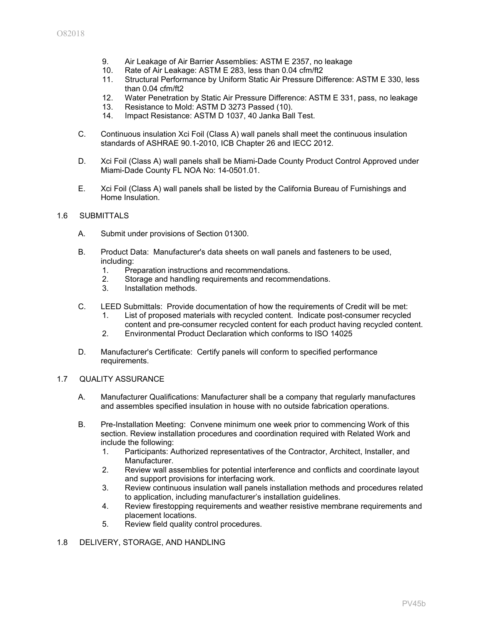- 9. Air Leakage of Air Barrier Assemblies: ASTM E 2357, no leakage
- 10. Rate of Air Leakage: ASTM E 283, less than 0.04 cfm/ft2
- 11. Structural Performance by Uniform Static Air Pressure Difference: ASTM E 330, less than 0.04 cfm/ft2
- 12. Water Penetration by Static Air Pressure Difference: ASTM E 331, pass, no leakage
- 13. Resistance to Mold: ASTM D 3273 Passed (10).
- 14. Impact Resistance: ASTM D 1037, 40 Janka Ball Test.
- C. Continuous insulation Xci Foil (Class A) wall panels shall meet the continuous insulation standards of ASHRAE 90.1-2010, ICB Chapter 26 and IECC 2012.
- D. Xci Foil (Class A) wall panels shall be Miami-Dade County Product Control Approved under Miami-Dade County FL NOA No: 14-0501.01.
- E. Xci Foil (Class A) wall panels shall be listed by the California Bureau of Furnishings and Home Insulation.

### 1.6 SUBMITTALS

- A. Submit under provisions of Section 01300.
- B. Product Data: Manufacturer's data sheets on wall panels and fasteners to be used, including:
	- 1. Preparation instructions and recommendations.<br>2. Storage and handling requirements and recomm
	- Storage and handling requirements and recommendations.
	- 3. Installation methods.
- C. LEED Submittals: Provide documentation of how the requirements of Credit will be met:
	- 1. List of proposed materials with recycled content. Indicate post-consumer recycled content and pre-consumer recycled content for each product having recycled content.
	- 2. Environmental Product Declaration which conforms to ISO 14025
- D. Manufacturer's Certificate: Certify panels will conform to specified performance requirements.

### 1.7 QUALITY ASSURANCE

- A. Manufacturer Qualifications: Manufacturer shall be a company that regularly manufactures and assembles specified insulation in house with no outside fabrication operations.
- B. Pre-Installation Meeting: Convene minimum one week prior to commencing Work of this section. Review installation procedures and coordination required with Related Work and include the following:
	- 1. Participants: Authorized representatives of the Contractor, Architect, Installer, and Manufacturer.
	- 2. Review wall assemblies for potential interference and conflicts and coordinate layout and support provisions for interfacing work.
	- 3. Review continuous insulation wall panels installation methods and procedures related to application, including manufacturer's installation guidelines.
	- 4. Review firestopping requirements and weather resistive membrane requirements and placement locations.
	- 5. Review field quality control procedures.

## 1.8 DELIVERY, STORAGE, AND HANDLING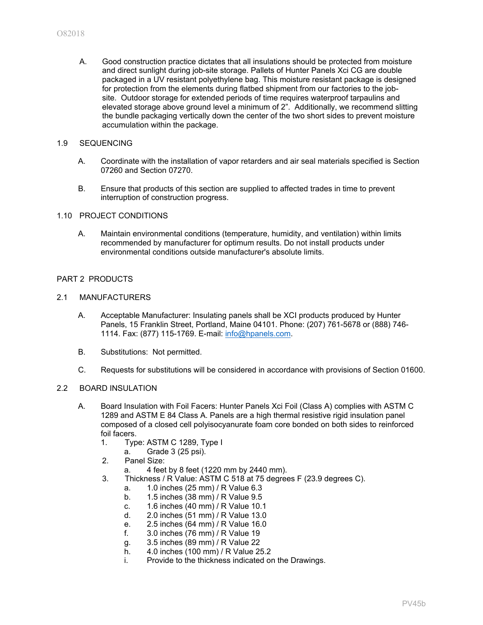A. Good construction practice dictates that all insulations should be protected from moisture and direct sunlight during job-site storage. Pallets of Hunter Panels Xci CG are double packaged in a UV resistant polyethylene bag. This moisture resistant package is designed for protection from the elements during flatbed shipment from our factories to the jobsite. Outdoor storage for extended periods of time requires waterproof tarpaulins and elevated storage above ground level a minimum of 2". Additionally, we recommend slitting the bundle packaging vertically down the center of the two short sides to prevent moisture accumulation within the package.

## 1.9 SEQUENCING

- A. Coordinate with the installation of vapor retarders and air seal materials specified is Section 07260 and Section 07270.
- B. Ensure that products of this section are supplied to affected trades in time to prevent interruption of construction progress.

#### 1.10 PROJECT CONDITIONS

A. Maintain environmental conditions (temperature, humidity, and ventilation) within limits recommended by manufacturer for optimum results. Do not install products under environmental conditions outside manufacturer's absolute limits.

## PART 2 PRODUCTS

#### 2.1 MANUFACTURERS

- A. Acceptable Manufacturer: Insulating panels shall be XCI products produced by Hunter Panels, 15 Franklin Street, Portland, Maine 04101. Phone: (207) 761-5678 or (888) 746- 1114. Fax: (877) 115-1769. E-mail: [info@hpanels.com.](mailto:info@hpanels.com)
- B. Substitutions: Not permitted.
- C. Requests for substitutions will be considered in accordance with provisions of Section 01600.

#### 2.2 BOARD INSULATION

- A. Board Insulation with Foil Facers: Hunter Panels Xci Foil (Class A) complies with ASTM C 1289 and ASTM E 84 Class A. Panels are a high thermal resistive rigid insulation panel composed of a closed cell polyisocyanurate foam core bonded on both sides to reinforced foil facers.
	- 1. Type: ASTM C 1289, Type I
		- a. Grade 3 (25 psi).
	- 2. Panel Size:
		- a. 4 feet by 8 feet (1220 mm by 2440 mm).
	- 3. Thickness / R Value: ASTM C 518 at 75 degrees F (23.9 degrees C).
		- a. 1.0 inches (25 mm) / R Value 6.3
		- b. 1.5 inches (38 mm) / R Value 9.5
		- c. 1.6 inches (40 mm) / R Value 10.1
		- d. 2.0 inches (51 mm) / R Value 13.0
		- e. 2.5 inches (64 mm) / R Value 16.0
		- f. 3.0 inches (76 mm) / R Value 19
		- g. 3.5 inches (89 mm) / R Value 22
		- h. 4.0 inches (100 mm) / R Value 25.2
		- i. Provide to the thickness indicated on the Drawings.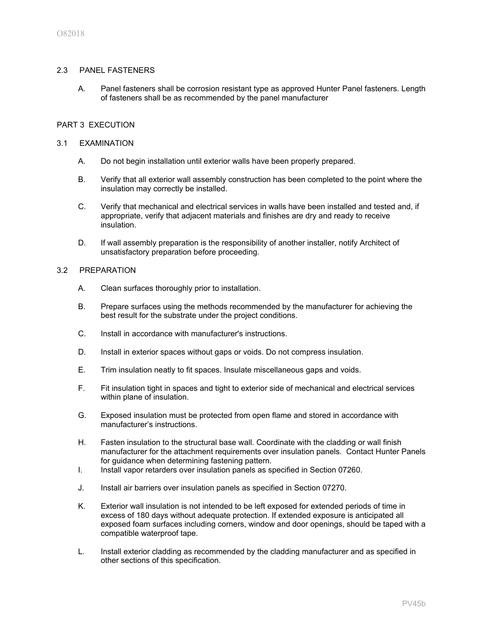### 2.3 PANEL FASTENERS

A. Panel fasteners shall be corrosion resistant type as approved Hunter Panel fasteners. Length of fasteners shall be as recommended by the panel manufacturer

### PART 3 EXECUTION

### 3.1 EXAMINATION

- A. Do not begin installation until exterior walls have been properly prepared.
- B. Verify that all exterior wall assembly construction has been completed to the point where the insulation may correctly be installed.
- C. Verify that mechanical and electrical services in walls have been installed and tested and, if appropriate, verify that adjacent materials and finishes are dry and ready to receive insulation.
- D. If wall assembly preparation is the responsibility of another installer, notify Architect of unsatisfactory preparation before proceeding.

### 3.2 PREPARATION

- A. Clean surfaces thoroughly prior to installation.
- B. Prepare surfaces using the methods recommended by the manufacturer for achieving the best result for the substrate under the project conditions.
- C. Install in accordance with manufacturer's instructions.
- D. Install in exterior spaces without gaps or voids. Do not compress insulation.
- E. Trim insulation neatly to fit spaces. Insulate miscellaneous gaps and voids.
- F. Fit insulation tight in spaces and tight to exterior side of mechanical and electrical services within plane of insulation.
- G. Exposed insulation must be protected from open flame and stored in accordance with manufacturer's instructions.
- H. Fasten insulation to the structural base wall. Coordinate with the cladding or wall finish manufacturer for the attachment requirements over insulation panels. Contact Hunter Panels for guidance when determining fastening pattern.
- I. Install vapor retarders over insulation panels as specified in Section 07260.
- J. Install air barriers over insulation panels as specified in Section 07270.
- K. Exterior wall insulation is not intended to be left exposed for extended periods of time in excess of 180 days without adequate protection. If extended exposure is anticipated all exposed foam surfaces including corners, window and door openings, should be taped with a compatible waterproof tape.
- L. Install exterior cladding as recommended by the cladding manufacturer and as specified in other sections of this specification.